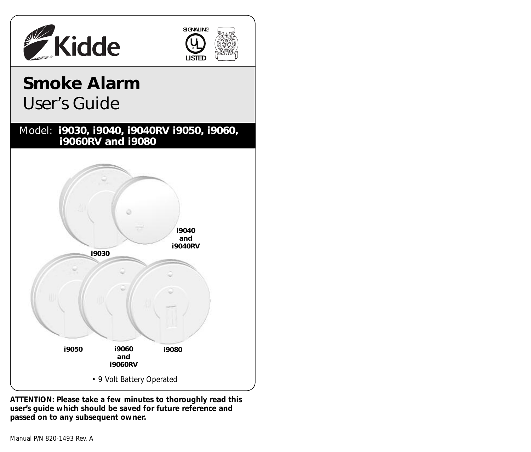



# **Smoke Alarm**  User's Guide





**ATTENTION: Please take a few minutes to thoroughly read this user's guide which should be saved for future reference and passed on to any subsequent owner.**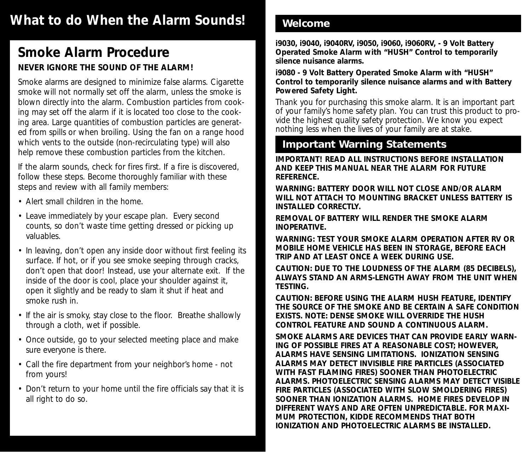# **What to do When the Alarm Sounds!**

# **Smoke Alarm Procedure NEVER IGNORE THE SOUND OF THE ALARM!**

Smoke alarms are designed to minimize false alarms. Cigarette smoke will not normally set off the alarm, unless the smoke is blown directly into the alarm. Combustion particles from cooking may set off the alarm if it is located too close to the cooking area. Large quantities of combustion particles are generated from spills or when broiling. Using the fan on a range hood which vents to the outside (non-recirculating type) will also help remove these combustion particles from the kitchen.

If the alarm sounds, check for fires first. If a fire is discovered, follow these steps. Become thoroughly familiar with these steps and review with all family members:

- Alert small children in the home.
- Leave immediately by your escape plan. Every second counts, so don't waste time getting dressed or picking up valuables.
- In leaving, don't open any inside door without first feeling its surface. If hot, or if you see smoke seeping through cracks, don't open that door! Instead, use your alternate exit. If the inside of the door is cool, place your shoulder against it, open it slightly and be ready to slam it shut if heat and smoke rush in.
- If the air is smoky, stay close to the floor. Breathe shallowly through a cloth, wet if possible.
- Once outside, go to your selected meeting place and make sure everyone is there.
- Call the fire department from your neighbor's home not from yours!
- Don't return to your home until the fire officials say that it is all right to do so.

## **Welcome**

**i9030, i9040, i9040RV, i9050, i9060, i9060RV, - 9 Volt Battery Operated Smoke Alarm with "HUSH" Control to temporarily silence nuisance alarms.**

**i9080 - 9 Volt Battery Operated Smoke Alarm with "HUSH" Control to temporarily silence nuisance alarms and with Battery Powered Safety Light.**

Thank you for purchasing this smoke alarm. It is an important part of your family's home safety plan. You can trust this product to provide the highest quality safety protection. We know you expect nothing less when the lives of your family are at stake.

# **Important Warning Statements**

**IMPORTANT! READ ALL INSTRUCTIONS BEFORE INSTALLATION AND KEEP THIS MANUAL NEAR THE ALARM FOR FUTURE REFERENCE.**

**WARNING: BATTERY DOOR WILL NOT CLOSE AND/OR ALARM WILL NOT ATTACH TO MOUNTING BRACKET UNLESS BATTERY IS INSTALLED CORRECTLY.**

**REMOVAL OF BATTERY WILL RENDER THE SMOKE ALARM INOPERATIVE.**

**WARNING: TEST YOUR SMOKE ALARM OPERATION AFTER RV OR MOBILE HOME VEHICLE HAS BEEN IN STORAGE, BEFORE EACH TRIP AND AT LEAST ONCE A WEEK DURING USE.**

**CAUTION: DUE TO THE LOUDNESS OF THE ALARM (85 DECIBELS), ALWAYS STAND AN ARMS-LENGTH AWAY FROM THE UNIT WHEN TESTING.**

**CAUTION: BEFORE USING THE ALARM HUSH FEATURE, IDENTIFY THE SOURCE OF THE SMOKE AND BE CERTAIN A SAFE CONDITION EXISTS. NOTE: DENSE SMOKE WILL OVERRIDE THE HUSH CONTROL FEATURE AND SOUND A CONTINUOUS ALARM.**

**SMOKE ALARMS ARE DEVICES THAT CAN PROVIDE EARLY WARN-ING OF POSSIBLE FIRES AT A REASONABLE COST; HOWEVER, ALARMS HAVE SENSING LIMITATIONS. IONIZATION SENSING ALARMS MAY DETECT INVISIBLE FIRE PARTICLES (ASSOCIATED WITH FAST FLAMING FIRES) SOONER THAN PHOTOELECTRIC ALARMS. PHOTOELECTRIC SENSING ALARMS MAY DETECT VISIBLE FIRE PARTICLES (ASSOCIATED WITH SLOW SMOLDERING FIRES) SOONER THAN IONIZATION ALARMS. HOME FIRES DEVELOP IN DIFFERENT WAYS AND ARE OFTEN UNPREDICTABLE. FOR MAXI-MUM PROTECTION, KIDDE RECOMMENDS THAT BOTH IONIZATION AND PHOTOELECTRIC ALARMS BE INSTALLED.**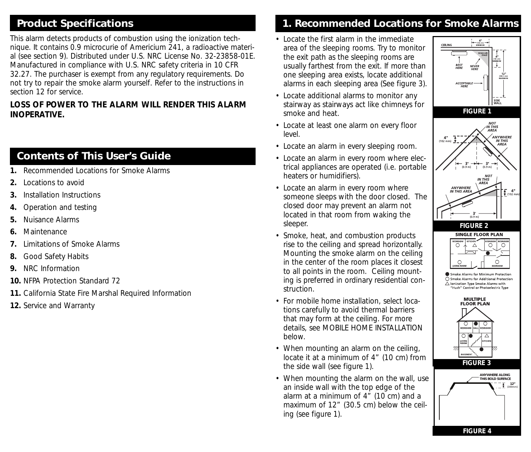# **Product Specifications**

This alarm detects products of combustion using the ionization technique. It contains 0.9 microcurie of Americium 241, a radioactive material (see section 9). Distributed under U.S. NRC License No. 32-23858-01E. Manufactured in compliance with U.S. NRC safety criteria in 10 CFR 32.27. The purchaser is exempt from any regulatory requirements. Do not try to repair the smoke alarm yourself. Refer to the instructions in section 12 for service.

#### **LOSS OF POWER TO THE ALARM WILL RENDER THIS ALARM INOPERATIVE.**

# **Contents of This User's Guide**

- **1.** Recommended Locations for Smoke Alarms
- **2.** Locations to avoid
- **3.** Installation Instructions
- **4.** Operation and testing
- **5.** Nuisance Alarms
- **6.** Maintenance
- **7.** Limitations of Smoke Alarms
- **8.** Good Safety Habits
- **9.** NRC Information
- **10.** NFPA Protection Standard 72
- **11.** California State Fire Marshal Required Information
- **12.** Service and Warranty

# **1. Recommended Locations for Smoke Alarms**

- Locate the first alarm in the immediate area of the sleeping rooms. Try to monitor the exit path as the sleeping rooms are usually farthest from the exit. If more than one sleeping area exists, locate additional alarms in each sleeping area (See figure 3).
- Locate additional alarms to monitor any stairway as stairways act like chimneys for smoke and heat.
- Locate at least one alarm on every floor level.
- Locate an alarm in every sleeping room.
- Locate an alarm in every room where electrical appliances are operated (i.e. portable heaters or humidifiers).
- Locate an alarm in every room where someone sleeps with the door closed. The closed door may prevent an alarm not located in that room from waking the sleeper.
- Smoke, heat, and combustion products rise to the ceiling and spread horizontally. Mounting the smoke alarm on the ceiling in the center of the room places it closest to all points in the room. Ceiling mounting is preferred in ordinary residential construction.
- For mobile home installation, select locations carefully to avoid thermal barriers that may form at the ceiling. For more details, see MOBILE HOME INSTALLATION below.
- When mounting an alarm on the ceiling, locate it at a minimum of 4" (10 cm) from the side wall (see figure 1).
- When mounting the alarm on the wall, use an inside wall with the top edge of the alarm at a minimum of 4" (10 cm) and a maximum of 12" (30.5 cm) below the ceiling (see figure 1).

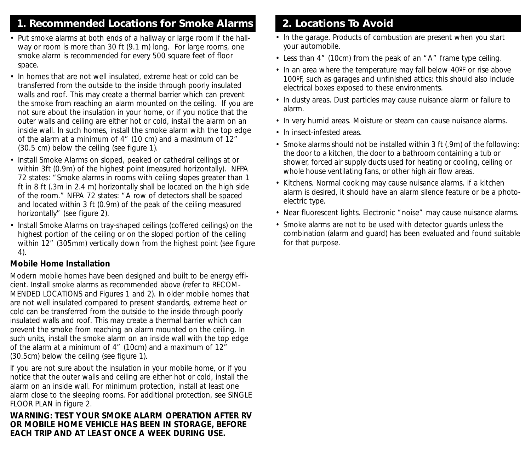# **1. Recommended Locations for Smoke Alarms**

- Put smoke alarms at both ends of a hallway or large room if the hallway or room is more than 30 ft (9.1 m) long. For large rooms, one smoke alarm is recommended for every 500 square feet of floor space.
- In homes that are not well insulated, extreme heat or cold can be transferred from the outside to the inside through poorly insulated walls and roof. This may create a thermal barrier which can prevent the smoke from reaching an alarm mounted on the ceiling. If you are not sure about the insulation in your home, or if you notice that the outer walls and ceiling are either hot or cold, install the alarm on an inside wall. In such homes, install the smoke alarm with the top edge of the alarm at a minimum of 4" (10 cm) and a maximum of 12" (30.5 cm) below the ceiling (see figure 1).
- Install Smoke Alarms on sloped, peaked or cathedral ceilings at or within 3ft (0.9m) of the highest point (measured horizontally). NFPA 72 states: "Smoke alarms in rooms with ceiling slopes greater than 1 ft in 8 ft (.3m in 2.4 m) horizontally shall be located on the high side of the room." NFPA 72 states: "A row of detectors shall be spaced and located within 3 ft (0.9m) of the peak of the ceiling measured horizontally" (see figure 2).
- Install Smoke Alarms on tray-shaped ceilings (coffered ceilings) on the highest portion of the ceiling or on the sloped portion of the ceiling within 12" (305mm) vertically down from the highest point (see figure 4).

### **Mobile Home Installation**

Modern mobile homes have been designed and built to be energy efficient. Install smoke alarms as recommended above (refer to RECOM-MENDED LOCATIONS and Figures 1 and 2). In older mobile homes that are not well insulated compared to present standards, extreme heat or cold can be transferred from the outside to the inside through poorly insulated walls and roof. This may create a thermal barrier which can prevent the smoke from reaching an alarm mounted on the ceiling. In such units, install the smoke alarm on an inside wall with the top edge of the alarm at a minimum of 4" (10cm) and a maximum of 12" (30.5cm) below the ceiling (see figure 1).

If you are not sure about the insulation in your mobile home, or if you notice that the outer walls and ceiling are either hot or cold, install the alarm on an inside wall. For minimum protection, install at least one alarm close to the sleeping rooms. For additional protection, see SINGLE FLOOR PLAN in figure 2.

#### **WARNING: TEST YOUR SMOKE ALARM OPERATION AFTER RV OR MOBILE HOME VEHICLE HAS BEEN IN STORAGE, BEFORE EACH TRIP AND AT LEAST ONCE A WEEK DURING USE.**

# **2. Locations To Avoid**

- In the garage. Products of combustion are present when you start your automobile.
- Less than 4" (10cm) from the peak of an "A" frame type ceiling.
- In an area where the temperature may fall below 40ºF or rise above 100ºF, such as garages and unfinished attics; this should also include electrical boxes exposed to these environments.
- In dusty areas. Dust particles may cause nuisance alarm or failure to alarm.
- In very humid areas. Moisture or steam can cause nuisance alarms.
- In insect-infested areas.
- Smoke alarms should not be installed within 3 ft (.9m) of the following: the door to a kitchen, the door to a bathroom containing a tub or shower, forced air supply ducts used for heating or cooling, ceiling or whole house ventilating fans, or other high air flow areas.
- Kitchens. Normal cooking may cause nuisance alarms. If a kitchen alarm is desired, it should have an alarm silence feature or be a photoelectric type.
- Near fluorescent lights. Electronic "noise" may cause nuisance alarms.
- Smoke alarms are not to be used with detector guards unless the combination (alarm and guard) has been evaluated and found suitable for that purpose.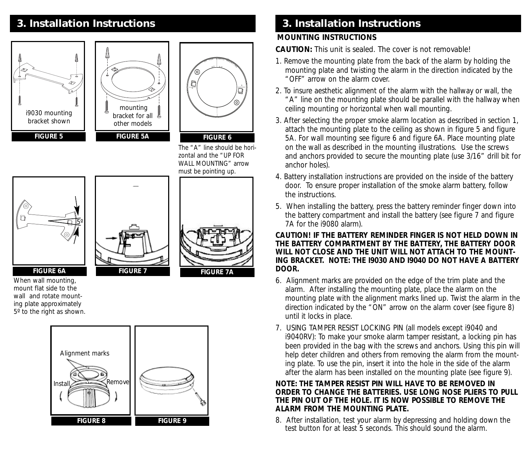





The "A" line should be horizontal and the "UP FOR WALL MOUNTING" arrow must be pointing up.



When wall mounting, mount flat side to the wall and rotate mounting plate approximately 5º to the right as shown.





# **3. Installation Instructions 3. Installation Instructions**

#### **MOUNTING INSTRUCTIONS**

**CAUTION:** This unit is sealed. The cover is not removable!

- 1. Remove the mounting plate from the back of the alarm by holding the mounting plate and twisting the alarm in the direction indicated by the "OFF" arrow on the alarm cover.
- 2. To insure aesthetic alignment of the alarm with the hallway or wall, the "A" line on the mounting plate should be parallel with the hallway when ceiling mounting or horizontal when wall mounting.
- 3. After selecting the proper smoke alarm location as described in section 1, attach the mounting plate to the ceiling as shown in figure 5 and figure 5A. For wall mounting see figure 6 and figure 6A. Place mounting plate on the wall as described in the mounting illustrations. Use the screws and anchors provided to secure the mounting plate (use 3/16" drill bit for anchor holes).
- 4. Battery installation instructions are provided on the inside of the battery door. To ensure proper installation of the smoke alarm battery, follow the instructions.
- 5. When installing the battery, press the battery reminder finger down into the battery compartment and install the battery (see figure 7 and figure 7A for the i9080 alarm).

#### **CAUTION! IF THE BATTERY REMINDER FINGER IS NOT HELD DOWN IN THE BATTERY COMPARTMENT BY THE BATTERY, THE BATTERY DOOR WILL NOT CLOSE AND THE UNIT WILL NOT ATTACH TO THE MOUNT-ING BRACKET. NOTE: THE I9030 AND I9040 DO NOT HAVE A BATTERY DOOR.**

- 6. Alignment marks are provided on the edge of the trim plate and the alarm. After installing the mounting plate, place the alarm on the mounting plate with the alignment marks lined up. Twist the alarm in the direction indicated by the "ON" arrow on the alarm cover (see figure 8) until it locks in place.
- 7. USING TAMPER RESIST LOCKING PIN (all models except i9040 and i9040RV): To make your smoke alarm tamper resistant, a locking pin has been provided in the bag with the screws and anchors. Using this pin will help deter children and others from removing the alarm from the mounting plate. To use the pin, insert it into the hole in the side of the alarm after the alarm has been installed on the mounting plate (see figure 9).

#### **NOTE: THE TAMPER RESIST PIN WILL HAVE TO BE REMOVED IN ORDER TO CHANGE THE BATTERIES. USE LONG NOSE PLIERS TO PULL THE PIN OUT OF THE HOLE. IT IS NOW POSSIBLE TO REMOVE THE ALARM FROM THE MOUNTING PLATE.**

8. After installation, test your alarm by depressing and holding down the test button for at least 5 seconds. This should sound the alarm.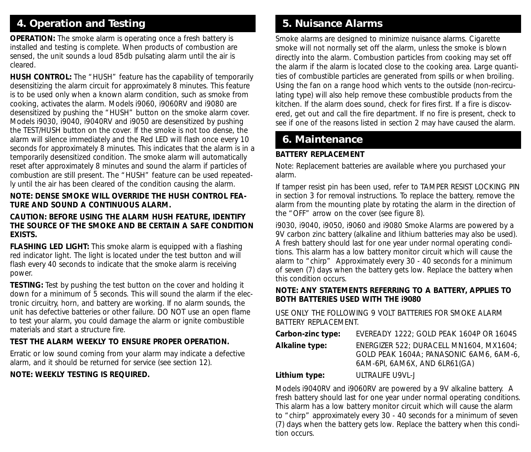# **4. Operation and Testing**

**OPERATION:** The smoke alarm is operating once a fresh battery is installed and testing is complete. When products of combustion are sensed, the unit sounds a loud 85db pulsating alarm until the air is cleared.

**HUSH CONTROL:** The "HUSH" feature has the capability of temporarily desensitizing the alarm circuit for approximately 8 minutes. This feature is to be used only when a known alarm condition, such as smoke from cooking, activates the alarm. Models i9060, i9060RV and i9080 are desensitized by pushing the "HUSH" button on the smoke alarm cover. Models i9030, i9040, i9040RV and i9050 are desensitized by pushing the TEST/HUSH button on the cover. If the smoke is not too dense, the alarm will silence immediately and the Red LED will flash once every 10 seconds for approximately 8 minutes. This indicates that the alarm is in a temporarily desensitized condition. The smoke alarm will automatically reset after approximately 8 minutes and sound the alarm if particles of combustion are still present. The "HUSH" feature can be used repeatedly until the air has been cleared of the condition causing the alarm.

#### **NOTE: DENSE SMOKE WILL OVERRIDE THE HUSH CONTROL FEA-TURE AND SOUND A CONTINUOUS ALARM.**

#### **CAUTION: BEFORE USING THE ALARM HUSH FEATURE, IDENTIFY THE SOURCE OF THE SMOKE AND BE CERTAIN A SAFE CONDITION EXISTS.**

**FLASHING LED LIGHT:** This smoke alarm is equipped with a flashing red indicator light. The light is located under the test button and will flash every 40 seconds to indicate that the smoke alarm is receiving power.

**TESTING:** Test by pushing the test button on the cover and holding it down for a minimum of 5 seconds. This will sound the alarm if the electronic circuitry, horn, and battery are working. If no alarm sounds, the unit has defective batteries or other failure. DO NOT use an open flame to test your alarm, you could damage the alarm or ignite combustible materials and start a structure fire.

### **TEST THE ALARM WEEKLY TO ENSURE PROPER OPERATION.**

Erratic or low sound coming from your alarm may indicate a defective alarm, and it should be returned for service (see section 12).

### **NOTE: WEEKLY TESTING IS REQUIRED.**

# **5. Nuisance Alarms**

Smoke alarms are designed to minimize nuisance alarms. Cigarette smoke will not normally set off the alarm, unless the smoke is blown directly into the alarm. Combustion particles from cooking may set off the alarm if the alarm is located close to the cooking area. Large quantities of combustible particles are generated from spills or when broiling. Using the fan on a range hood which vents to the outside (non-recirculating type) will also help remove these combustible products from the kitchen. If the alarm does sound, check for fires first. If a fire is discovered, get out and call the fire department. If no fire is present, check to see if one of the reasons listed in section 2 may have caused the alarm.

# **6. Maintenance**

### **BATTERY REPLACEMENT**

Note: Replacement batteries are available where you purchased your alarm.

If tamper resist pin has been used, refer to TAMPER RESIST LOCKING PIN in section 3 for removal instructions. To replace the battery, remove the alarm from the mounting plate by rotating the alarm in the direction of the "OFF" arrow on the cover (see figure 8).

i9030, i9040, i9050, i9060 and i9080 Smoke Alarms are powered by a 9V carbon zinc battery (alkaline and lithium batteries may also be used). A fresh battery should last for one year under normal operating conditions. This alarm has a low battery monitor circuit which will cause the alarm to "chirp" Approximately every 30 - 40 seconds for a minimum of seven (7) days when the battery gets low. Replace the battery when this condition occurs.

#### **NOTE: ANY STATEMENTS REFERRING TO A BATTERY, APPLIES TO BOTH BATTERIES USED WITH THE i9080**

USE ONLY THE FOLLOWING 9 VOLT BATTERIES FOR SMOKE ALARM BATTERY REPLACEMENT.

| Carbon-zinc type: | EVEREADY 1222; GOLD PEAK 1604P OR 1604S                                                                            |
|-------------------|--------------------------------------------------------------------------------------------------------------------|
| Alkaline type:    | ENERGIZER 522; DURACELL MN1604, MX1604;<br>GOLD PEAK 1604A: PANASONIC 6AM6, 6AM-6,<br>6AM-6PL 6AM6X, AND 6LR61(GA) |
| .                 |                                                                                                                    |

**Lithium type:** ULTRALIFE U9VL-J

Models i9040RV and i9060RV are powered by a 9V alkaline battery. A fresh battery should last for one year under normal operating conditions. This alarm has a low battery monitor circuit which will cause the alarm to "chirp" approximately every 30 - 40 seconds for a minimum of seven (7) days when the battery gets low. Replace the battery when this condition occurs.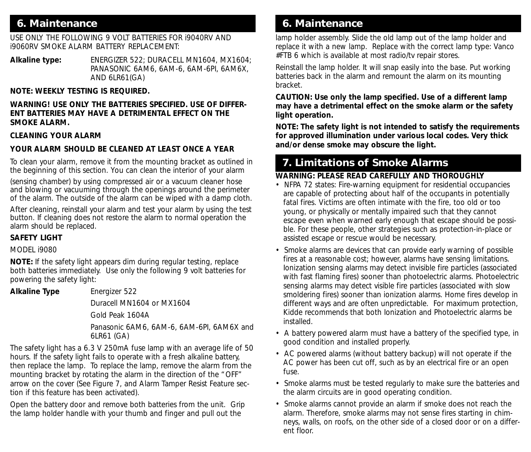## **6. Maintenance**

USE ONLY THE FOLLOWING 9 VOLT BATTERIES FOR i9040RV AND i9060RV SMOKE ALARM BATTERY REPLACEMENT:

**Alkaline type:** ENERGIZER 522; DURACELL MN1604, MX1604; PANASONIC 6AM6, 6AM-6, 6AM-6PI, 6AM6X, AND 6LR61(GA)

#### **NOTE: WEEKLY TESTING IS REQUIRED.**

#### **WARNING! USE ONLY THE BATTERIES SPECIFIED. USE OF DIFFER-ENT BATTERIES MAY HAVE A DETRIMENTAL EFFECT ON THE SMOKE ALARM.**

#### **CLEANING YOUR ALARM**

#### **YOUR ALARM SHOULD BE CLEANED AT LEAST ONCE A YEAR**

To clean your alarm, remove it from the mounting bracket as outlined in the beginning of this section. You can clean the interior of your alarm

(sensing chamber) by using compressed air or a vacuum cleaner hose and blowing or vacuuming through the openings around the perimeter of the alarm. The outside of the alarm can be wiped with a damp cloth.

After cleaning, reinstall your alarm and test your alarm by using the test button. If cleaning does not restore the alarm to normal operation the alarm should be replaced.

#### **SAFETY LIGHT**

MODEL i9080

**NOTE:** If the safety light appears dim during regular testing, replace both batteries immediately. Use only the following 9 volt batteries for powering the safety light:

**Alkaline Type** Energizer 522

Duracell MN1604 or MX1604

Gold Peak 1604A

Panasonic 6AM6, 6AM-6, 6AM-6PI, 6AM6X and 6LR61 (GA)

The safety light has a 6.3 V 250mA fuse lamp with an average life of 50 hours. If the safety light fails to operate with a fresh alkaline battery, then replace the lamp. To replace the lamp, remove the alarm from the mounting bracket by rotating the alarm in the direction of the "OFF" arrow on the cover (See Figure 7, and Alarm Tamper Resist Feature section if this feature has been activated).

Open the battery door and remove both batteries from the unit. Grip the lamp holder handle with your thumb and finger and pull out the

# **6. Maintenance**

lamp holder assembly. Slide the old lamp out of the lamp holder and replace it with a new lamp. Replace with the correct lamp type: Vanco #FTB 6 which is available at most radio/tv repair stores.

Reinstall the lamp holder. It will snap easily into the base. Put working batteries back in the alarm and remount the alarm on its mounting bracket.

#### **CAUTION: Use only the lamp specified. Use of a different lamp may have a detrimental effect on the smoke alarm or the safety light operation.**

**NOTE: The safety light is not intended to satisfy the requirements for approved illumination under various local codes. Very thick and/or dense smoke may obscure the light.**

# **7. Limitations of Smoke Alarms**

#### **WARNING: PLEASE READ CAREFULLY AND THOROUGHLY**

- NFPA 72 states: Fire-warning equipment for residential occupancies are capable of protecting about half of the occupants in potentially fatal fires. Victims are often intimate with the fire, too old or too young, or physically or mentally impaired such that they cannot escape even when warned early enough that escape should be possible. For these people, other strategies such as protection-in-place or assisted escape or rescue would be necessary.
- Smoke alarms are devices that can provide early warning of possible fires at a reasonable cost; however, alarms have sensing limitations. Ionization sensing alarms may detect invisible fire particles (associated with fast flaming fires) sooner than photoelectric alarms. Photoelectric sensing alarms may detect visible fire particles (associated with slow smoldering fires) sooner than ionization alarms. Home fires develop in different ways and are often unpredictable. For maximum protection, Kidde recommends that both Ionization and Photoelectric alarms be installed.
- A battery powered alarm must have a battery of the specified type, in good condition and installed properly.
- AC powered alarms (without battery backup) will not operate if the AC power has been cut off, such as by an electrical fire or an open fuse.
- Smoke alarms must be tested regularly to make sure the batteries and the alarm circuits are in good operating condition.
- Smoke alarms cannot provide an alarm if smoke does not reach the alarm. Therefore, smoke alarms may not sense fires starting in chimneys, walls, on roofs, on the other side of a closed door or on a different floor.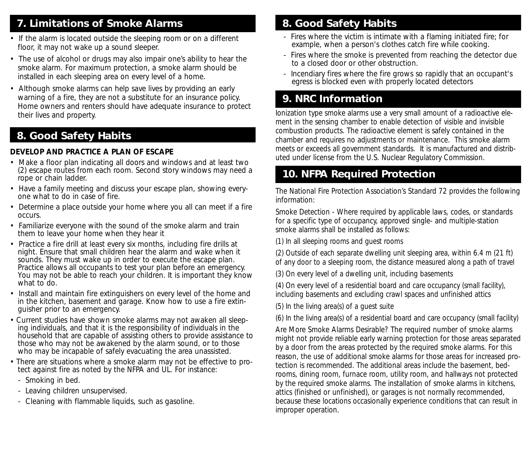# **7. Limitations of Smoke Alarms**

- If the alarm is located outside the sleeping room or on a different floor, it may not wake up a sound sleeper.
- The use of alcohol or drugs may also impair one's ability to hear the smoke alarm. For maximum protection, a smoke alarm should be installed in each sleeping area on every level of a home.
- Although smoke alarms can help save lives by providing an early warning of a fire, they are not a substitute for an insurance policy. Home owners and renters should have adequate insurance to protect their lives and property.

# **8. Good Safety Habits**

#### **DEVELOP AND PRACTICE A PLAN OF ESCAPE**

- Make a floor plan indicating all doors and windows and at least two (2) escape routes from each room. Second story windows may need a rope or chain ladder.
- Have a family meeting and discuss your escape plan, showing everyone what to do in case of fire.
- Determine a place outside your home where you all can meet if a fire occurs.
- Familiarize everyone with the sound of the smoke alarm and train them to leave your home when they hear it
- Practice a fire drill at least every six months, including fire drills at night. Ensure that small children hear the alarm and wake when it sounds. They must wake up in order to execute the escape plan. Practice allows all occupants to test your plan before an emergency. You may not be able to reach your children. It is important they know what to do.
- Install and maintain fire extinguishers on every level of the home and in the kitchen, basement and garage. Know how to use a fire extinguisher prior to an emergency.
- Current studies have shown smoke alarms may not awaken all sleeping individuals, and that it is the responsibility of individuals in the household that are capable of assisting others to provide assistance to those who may not be awakened by the alarm sound, or to those who may be incapable of safely evacuating the area unassisted.
- There are situations where a smoke alarm may not be effective to protect against fire as noted by the NFPA and UL. For instance:
	- Smoking in bed.
	- Leaving children unsupervised.
	- Cleaning with flammable liquids, such as gasoline.

# **8. Good Safety Habits**

- Fires where the victim is intimate with a flaming initiated fire; for example, when a person's clothes catch fire while cooking.
- Fires where the smoke is prevented from reaching the detector due to a closed door or other obstruction.
- Incendiary fires where the fire grows so rapidly that an occupant's egress is blocked even with properly located detectors

# **9. NRC Information**

Ionization type smoke alarms use a very small amount of a radioactive element in the sensing chamber to enable detection of visible and invisible combustion products. The radioactive element is safely contained in the chamber and requires no adjustments or maintenance. This smoke alarm meets or exceeds all government standards. It is manufactured and distributed under license from the U.S. Nuclear Regulatory Commission.

# **10. NFPA Required Protection**

The National Fire Protection Association's Standard 72 provides the following information:

Smoke Detection - Where required by applicable laws, codes, or standards for a specific type of occupancy, approved single- and multiple-station smoke alarms shall be installed as follows:

(1) In all sleeping rooms and guest rooms

(2) Outside of each separate dwelling unit sleeping area, within 6.4 m (21 ft) of any door to a sleeping room, the distance measured along a path of travel

(3) On every level of a dwelling unit, including basements

(4) On every level of a residential board and care occupancy (small facility), including basements and excluding crawl spaces and unfinished attics

(5) In the living area(s) of a guest suite

(6) In the living area(s) of a residential board and care occupancy (small facility)

Are More Smoke Alarms Desirable? The required number of smoke alarms might not provide reliable early warning protection for those areas separated by a door from the areas protected by the required smoke alarms. For this reason, the use of additional smoke alarms for those areas for increased protection is recommended. The additional areas include the basement, bedrooms, dining room, furnace room, utility room, and hallways not protected by the required smoke alarms. The installation of smoke alarms in kitchens, attics (finished or unfinished), or garages is not normally recommended, because these locations occasionally experience conditions that can result in improper operation.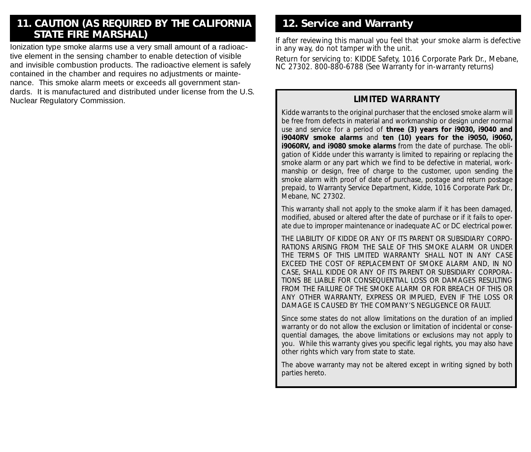# **11. CAUTION (AS REQUIRED BY THE CALIFORNIA STATE FIRE MARSHAL)**

Ionization type smoke alarms use a very small amount of a radioactive element in the sensing chamber to enable detection of visible and invisible combustion products. The radioactive element is safely contained in the chamber and requires no adjustments or maintenance. This smoke alarm meets or exceeds all government standards. It is manufactured and distributed under license from the U.S. Nuclear Regulatory Commission.

# **12. Service and Warranty**

If after reviewing this manual you feel that your smoke alarm is defective in any way, do not tamper with the unit.

Return for servicing to: KIDDE Safety, 1016 Corporate Park Dr., Mebane, NC 27302. 800-880-6788 (See Warranty for in-warranty returns)

#### **LIMITED WARRANTY**

Kidde warrants to the original purchaser that the enclosed smoke alarm will be free from defects in material and workmanship or design under normal use and service for a period of **three (3) years for i9030, i9040 and i9040RV smoke alarms** and **ten (10) years for the i9050, i9060, i9060RV, and i9080 smoke alarms** from the date of purchase. The obligation of Kidde under this warranty is limited to repairing or replacing the smoke alarm or any part which we find to be defective in material, workmanship or design, free of charge to the customer, upon sending the smoke alarm with proof of date of purchase, postage and return postage prepaid, to Warranty Service Department, Kidde, 1016 Corporate Park Dr., Mebane, NC 27302.

This warranty shall not apply to the smoke alarm if it has been damaged, modified, abused or altered after the date of purchase or if it fails to operate due to improper maintenance or inadequate AC or DC electrical power.

THE LIABILITY OF KIDDE OR ANY OF ITS PARENT OR SUBSIDIARY CORPO-RATIONS ARISING FROM THE SALE OF THIS SMOKE ALARM OR UNDER THE TERMS OF THIS LIMITED WARRANTY SHALL NOT IN ANY CASE EXCEED THE COST OF REPLACEMENT OF SMOKE ALARM AND, IN NO CASE, SHALL KIDDE OR ANY OF ITS PARENT OR SUBSIDIARY CORPORA-TIONS BE LIABLE FOR CONSEQUENTIAL LOSS OR DAMAGES RESULTING FROM THE FAILURE OF THE SMOKE ALARM OR FOR BREACH OF THIS OR ANY OTHER WARRANTY, EXPRESS OR IMPLIED, EVEN IF THE LOSS OR DAMAGE IS CAUSED BY THE COMPANY'S NEGLIGENCE OR FAULT.

Since some states do not allow limitations on the duration of an implied warranty or do not allow the exclusion or limitation of incidental or consequential damages, the above limitations or exclusions may not apply to you. While this warranty gives you specific legal rights, you may also have other rights which vary from state to state.

The above warranty may not be altered except in writing signed by both parties hereto.